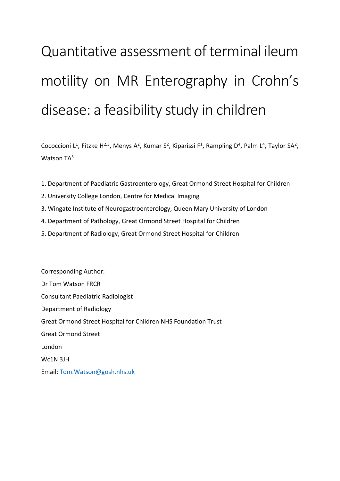# Quantitative assessment of terminal ileum motility on MR Enterography in Crohn's disease: a feasibility study in children

Cococcioni L<sup>1</sup>, Fitzke H<sup>2,3</sup>, Menys A<sup>2</sup>, Kumar S<sup>2</sup>, Kiparissi F<sup>1</sup>, Rampling D<sup>4</sup>, Palm L<sup>4</sup>, Taylor SA<sup>2</sup>, Watson TA<sup>5</sup>

- 1. Department of Paediatric Gastroenterology, Great Ormond Street Hospital for Children
- 2. University College London, Centre for Medical Imaging
- 3. Wingate Institute of Neurogastroenterology, Queen Mary University of London
- 4. Department of Pathology, Great Ormond Street Hospital for Children
- 5. Department of Radiology, Great Ormond Street Hospital for Children

Corresponding Author: Dr Tom Watson FRCR Consultant Paediatric Radiologist Department of Radiology Great Ormond Street Hospital for Children NHS Foundation Trust Great Ormond Street London Wc1N 3JH

Email: [Tom.Watson@gosh.nhs.uk](mailto:Tom.Watson@gosh.nhs.uk)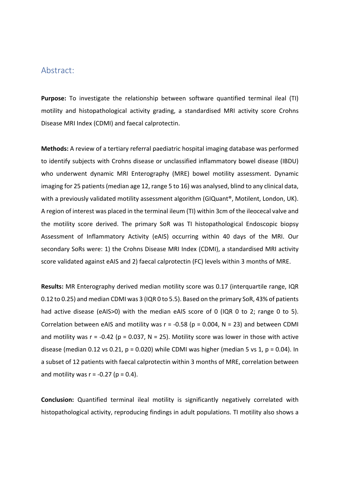# Abstract:

**Purpose:** To investigate the relationship between software quantified terminal ileal (TI) motility and histopathological activity grading, a standardised MRI activity score Crohns Disease MRI Index (CDMI) and faecal calprotectin.

**Methods:** A review of a tertiary referral paediatric hospital imaging database was performed to identify subjects with Crohns disease or unclassified inflammatory bowel disease (IBDU) who underwent dynamic MRI Enterography (MRE) bowel motility assessment. Dynamic imaging for 25 patients (median age 12, range 5 to 16) was analysed, blind to any clinical data, with a previously validated motility assessment algorithm (GIQuant®, Motilent, London, UK). A region of interest was placed in the terminal ileum (TI) within 3cm of the ileocecal valve and the motility score derived. The primary SoR was TI histopathological Endoscopic biopsy Assessment of Inflammatory Activity (eAIS) occurring within 40 days of the MRI. Our secondary SoRs were: 1) the Crohns Disease MRI Index (CDMI), a standardised MRI activity score validated against eAIS and 2) faecal calprotectin (FC) levels within 3 months of MRE.

**Results:** MR Enterography derived median motility score was 0.17 (interquartile range, IQR 0.12 to 0.25) and median CDMI was 3 (IQR 0 to 5.5). Based on the primary SoR, 43% of patients had active disease (eAIS>0) with the median eAIS score of 0 (IQR 0 to 2; range 0 to 5). Correlation between eAIS and motility was  $r = -0.58$  ( $p = 0.004$ ,  $N = 23$ ) and between CDMI and motility was  $r = -0.42$  ( $p = 0.037$ ,  $N = 25$ ). Motility score was lower in those with active disease (median 0.12 vs 0.21,  $p = 0.020$ ) while CDMI was higher (median 5 vs 1,  $p = 0.04$ ). In a subset of 12 patients with faecal calprotectin within 3 months of MRE, correlation between and motility was  $r = -0.27$  ( $p = 0.4$ ).

**Conclusion:** Quantified terminal ileal motility is significantly negatively correlated with histopathological activity, reproducing findings in adult populations. TI motility also shows a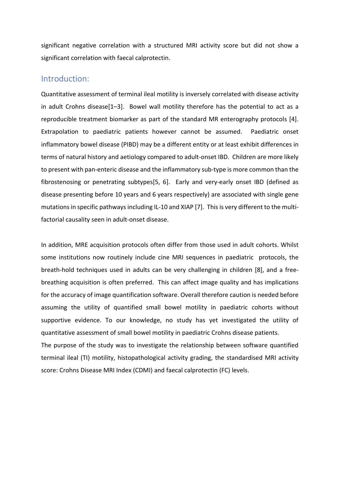significant negative correlation with a structured MRI activity score but did not show a significant correlation with faecal calprotectin.

# Introduction:

Quantitative assessment of terminal ileal motility is inversely correlated with disease activity in adult Crohns disease[1–3]. Bowel wall motility therefore has the potential to act as a reproducible treatment biomarker as part of the standard MR enterography protocols [4]. Extrapolation to paediatric patients however cannot be assumed. Paediatric onset inflammatory bowel disease (PIBD) may be a different entity or at least exhibit differences in terms of natural history and aetiology compared to adult-onset IBD. Children are more likely to present with pan-enteric disease and the inflammatory sub-type is more common than the fibrostenosing or penetrating subtypes[5, 6]. Early and very-early onset IBD (defined as disease presenting before 10 years and 6 years respectively) are associated with single gene mutations in specific pathways including IL-10 and XIAP [7]. This is very different to the multifactorial causality seen in adult-onset disease.

In addition, MRE acquisition protocols often differ from those used in adult cohorts. Whilst some institutions now routinely include cine MRI sequences in paediatric protocols, the breath-hold techniques used in adults can be very challenging in children [8], and a freebreathing acquisition is often preferred. This can affect image quality and has implications for the accuracy of image quantification software. Overall therefore caution is needed before assuming the utility of quantified small bowel motility in paediatric cohorts without supportive evidence. To our knowledge, no study has yet investigated the utility of quantitative assessment of small bowel motility in paediatric Crohns disease patients. The purpose of the study was to investigate the relationship between software quantified terminal ileal (TI) motility, histopathological activity grading, the standardised MRI activity score: Crohns Disease MRI Index (CDMI) and faecal calprotectin (FC) levels.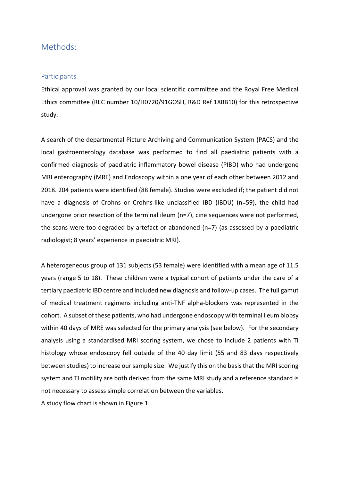# Methods:

## **Participants**

Ethical approval was granted by our local scientific committee and the Royal Free Medical Ethics committee (REC number 10/H0720/91GOSH, R&D Ref 18BB10) for this retrospective study.

A search of the departmental Picture Archiving and Communication System (PACS) and the local gastroenterology database was performed to find all paediatric patients with a confirmed diagnosis of paediatric inflammatory bowel disease (PIBD) who had undergone MRI enterography (MRE) and Endoscopy within a one year of each other between 2012 and 2018. 204 patients were identified (88 female). Studies were excluded if; the patient did not have a diagnosis of Crohns or Crohns-like unclassified IBD (IBDU) (n=59), the child had undergone prior resection of the terminal ileum (n=7), cine sequences were not performed, the scans were too degraded by artefact or abandoned (n=7) (as assessed by a paediatric radiologist; 8 years' experience in paediatric MRI).

A heterogeneous group of 131 subjects (53 female) were identified with a mean age of 11.5 years (range 5 to 18). These children were a typical cohort of patients under the care of a tertiary paediatric IBD centre and included new diagnosis and follow-up cases. The full gamut of medical treatment regimens including anti-TNF alpha-blockers was represented in the cohort. A subset of these patients, who had undergone endoscopy with terminal ileum biopsy within 40 days of MRE was selected for the primary analysis (see below). For the secondary analysis using a standardised MRI scoring system, we chose to include 2 patients with TI histology whose endoscopy fell outside of the 40 day limit (55 and 83 days respectively between studies) to increase our sample size. We justify this on the basis that the MRI scoring system and TI motility are both derived from the same MRI study and a reference standard is not necessary to assess simple correlation between the variables.

A study flow chart is shown in [Figure 1.](#page-4-0)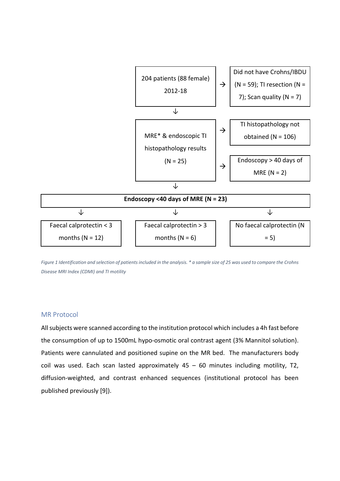

<span id="page-4-0"></span>*Figure 1 Identification and selection of patients included in the analysis. \* a sample size of 25 was used to compare the Crohns Disease MRI Index (CDMI) and TI motility* 

#### MR Protocol

All subjects were scanned according to the institution protocol which includes a 4h fast before the consumption of up to 1500mL hypo-osmotic oral contrast agent (3% Mannitol solution). Patients were cannulated and positioned supine on the MR bed. The manufacturers body coil was used. Each scan lasted approximately  $45 - 60$  minutes including motility, T2, diffusion-weighted, and contrast enhanced sequences (institutional protocol has been published previously [9]).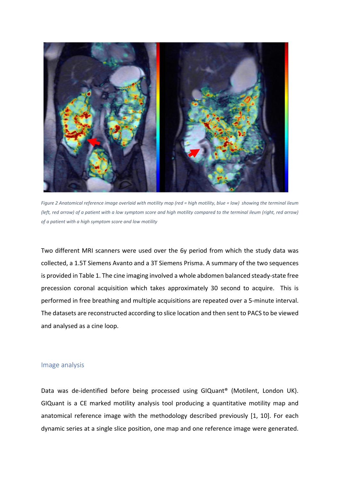

*Figure 2 Anatomical reference image overlaid with motility map (red = high motility, blue = low) showing the terminal ileum (left, red arrow) of a patient with a low symptom score and high motility compared to the terminal ileum (right, red arrow) of a patient with a high symptom score and low motility*

Two different MRI scanners were used over the 6y period from which the study data was collected, a 1.5T Siemens Avanto and a 3T Siemens Prisma. A summary of the two sequences is provided in Table 1. The cine imaging involved a whole abdomen balanced steady-state free precession coronal acquisition which takes approximately 30 second to acquire. This is performed in free breathing and multiple acquisitions are repeated over a 5-minute interval. The datasets are reconstructed according to slice location and then sent to PACS to be viewed and analysed as a cine loop.

## Image analysis

Data was de-identified before being processed using GIQuant® (Motilent, London UK). GIQuant is a CE marked motility analysis tool producing a quantitative motility map and anatomical reference image with the methodology described previously [1, 10]. For each dynamic series at a single slice position, one map and one reference image were generated.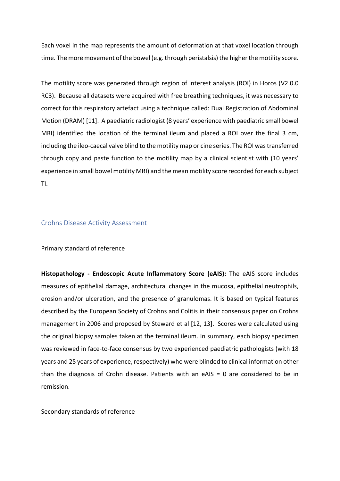Each voxel in the map represents the amount of deformation at that voxel location through time. The more movement of the bowel (e.g. through peristalsis) the higher the motility score.

The motility score was generated through region of interest analysis (ROI) in Horos (V2.0.0 RC3). Because all datasets were acquired with free breathing techniques, it was necessary to correct for this respiratory artefact using a technique called: Dual Registration of Abdominal Motion (DRAM) [11]. A paediatric radiologist (8 years' experience with paediatric small bowel MRI) identified the location of the terminal ileum and placed a ROI over the final 3 cm, including the ileo-caecal valve blind to the motility map or cine series. The ROI was transferred through copy and paste function to the motility map by a clinical scientist with (10 years' experience in small bowel motility MRI) and the mean motility score recorded for each subject TI.

#### Crohns Disease Activity Assessment

#### Primary standard of reference

**Histopathology - Endoscopic Acute Inflammatory Score (eAIS):** The eAIS score includes measures of epithelial damage, architectural changes in the mucosa, epithelial neutrophils, erosion and/or ulceration, and the presence of granulomas. It is based on typical features described by the European Society of Crohns and Colitis in their consensus paper on Crohns management in 2006 and proposed by Steward et al [12, 13]. Scores were calculated using the original biopsy samples taken at the terminal ileum. In summary, each biopsy specimen was reviewed in face-to-face consensus by two experienced paediatric pathologists (with 18 years and 25 years of experience, respectively) who were blinded to clinical information other than the diagnosis of Crohn disease. Patients with an eAIS = 0 are considered to be in remission.

Secondary standards of reference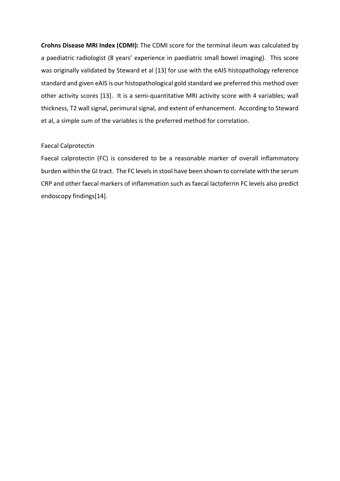**Crohns Disease MRI Index (CDMI):** The CDMI score for the terminal ileum was calculated by a paediatric radiologist (8 years' experience in paediatric small bowel imaging). This score was originally validated by Steward et al [13] for use with the eAIS histopathology reference standard and given eAIS is our histopathological gold standard we preferred this method over other activity scores [13]. It is a semi-quantitative MRI activity score with 4 variables; wall thickness, T2 wall signal, perimural signal, and extent of enhancement. According to Steward et al, a simple sum of the variables is the preferred method for correlation.

#### Faecal Calprotectin

Faecal calprotectin (FC) is considered to be a reasonable marker of overall inflammatory burden within the GI tract. The FC levels in stool have been shown to correlate with the serum CRP and other faecal markers of inflammation such as faecal lactoferrin FC levels also predict endoscopy findings[14].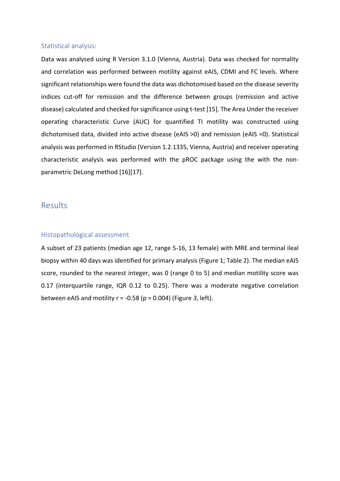#### Statistical analysis:

Data was analysed using R Version 3.1.0 (Vienna, Austria). Data was checked for normality and correlation was performed between motility against eAIS, CDMI and FC levels. Where significant relationships were found the data was dichotomised based on the disease severity indices cut-off for remission and the difference between groups (remission and active disease) calculated and checked for significance using t-test [15]. The Area Under the receiver operating characteristic Curve (AUC) for quantified TI motility was constructed using dichotomised data, divided into active disease (eAIS >0) and remission (eAIS =0). Statistical analysis was performed in RStudio (Version 1.2.1335, Vienna, Austria) and receiver operating characteristic analysis was performed with the pROC package using the with the nonparametric DeLong method [16][17].

## **Results**

## Histopathological assessment

A subset of 23 patients (median age 12, range 5-16, 13 female) with MRE and terminal ileal biopsy within 40 days was identified for primary analysis (Figure 1; Table 2). The median eAIS score, rounded to the nearest integer, was 0 (range 0 to 5) and median motility score was 0.17 (interquartile range, IQR 0.12 to 0.25). There was a moderate negative correlation between eAIS and motility r = -0.58 (p = 0.004) [\(Figure](#page-9-0) *3*, left).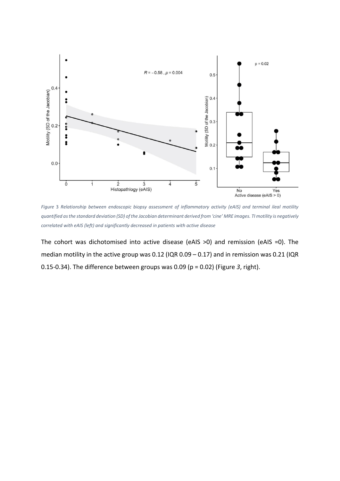

<span id="page-9-0"></span>*Figure* 3 *Relationship between endoscopic biopsy assessment of inflammatory activity (eAIS) and terminal ileal motility quantified as the standard deviation (SD) of the Jacobian determinant derived from 'cine' MRE images. TI motility is negatively correlated with eAIS (left) and significantly decreased in patients with active disease*

The cohort was dichotomised into active disease (eAIS >0) and remission (eAIS =0). The median motility in the active group was 0.12 (IQR 0.09 – 0.17) and in remission was 0.21 (IQR 0.15-0.34). The difference between groups was 0.09 (p = 0.02) [\(Figure](#page-9-0) *3*, right).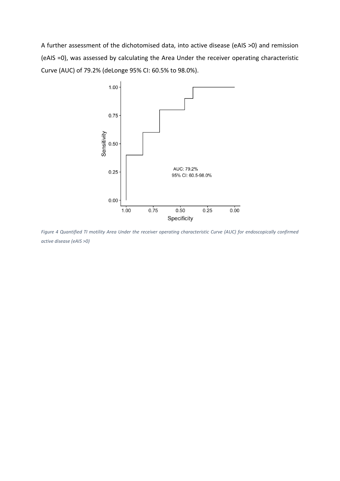A further assessment of the dichotomised data, into active disease (eAIS >0) and remission (eAIS =0), was assessed by calculating the Area Under the receiver operating characteristic Curve (AUC) of 79.2% (deLonge 95% CI: 60.5% to 98.0%).



*Figure 4 Quantified TI motility Area Under the receiver operating characteristic Curve (AUC) for endoscopically confirmed active disease (eAIS >0)*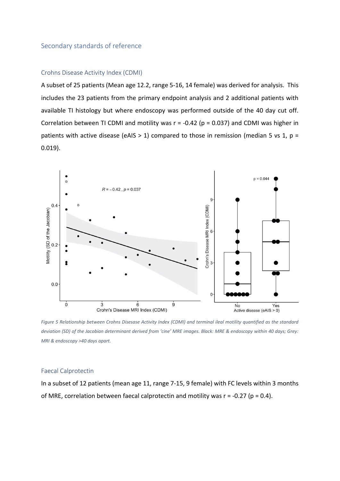#### Secondary standards of reference

## Crohns Disease Activity Index (CDMI)

A subset of 25 patients (Mean age 12.2, range 5-16, 14 female) was derived for analysis. This includes the 23 patients from the primary endpoint analysis and 2 additional patients with available TI histology but where endoscopy was performed outside of the 40 day cut off. Correlation between TI CDMI and motility was  $r = -0.42$  ( $p = 0.037$ ) and CDMI was higher in patients with active disease (eAIS > 1) compared to those in remission (median 5 vs 1,  $p =$ 0.019).



*Figure 5 Relationship between Crohns Disesase Activity Index (CDMI) and terminal ileal motility quantified as the standard deviation (SD) of the Jacobian determinant derived from 'cine' MRE images. Black: MRE & endoscopy within 40 days; Grey: MRI & endoscopy >40 days apart.* 

#### Faecal Calprotectin

In a subset of 12 patients (mean age 11, range 7-15, 9 female) with FC levels within 3 months of MRE, correlation between faecal calprotectin and motility was  $r = -0.27$  ( $p = 0.4$ ).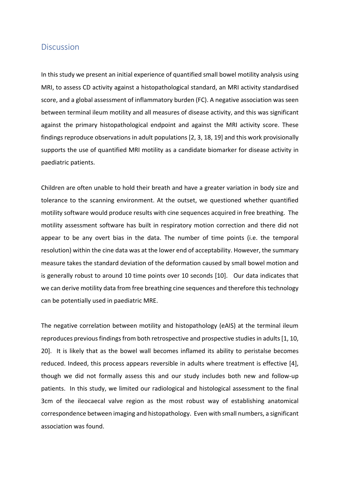## **Discussion**

In this study we present an initial experience of quantified small bowel motility analysis using MRI, to assess CD activity against a histopathological standard, an MRI activity standardised score, and a global assessment of inflammatory burden (FC). A negative association was seen between terminal ileum motility and all measures of disease activity, and this was significant against the primary histopathological endpoint and against the MRI activity score. These findings reproduce observations in adult populations [2, 3, 18, 19] and this work provisionally supports the use of quantified MRI motility as a candidate biomarker for disease activity in paediatric patients.

Children are often unable to hold their breath and have a greater variation in body size and tolerance to the scanning environment. At the outset, we questioned whether quantified motility software would produce results with cine sequences acquired in free breathing. The motility assessment software has built in respiratory motion correction and there did not appear to be any overt bias in the data. The number of time points (i.e. the temporal resolution) within the cine data was at the lower end of acceptability. However, the summary measure takes the standard deviation of the deformation caused by small bowel motion and is generally robust to around 10 time points over 10 seconds [10]. Our data indicates that we can derive motility data from free breathing cine sequences and therefore this technology can be potentially used in paediatric MRE.

The negative correlation between motility and histopathology (eAIS) at the terminal ileum reproduces previous findings from both retrospective and prospective studies in adults[1, 10, 20]. It is likely that as the bowel wall becomes inflamed its ability to peristalse becomes reduced. Indeed, this process appears reversible in adults where treatment is effective [4], though we did not formally assess this and our study includes both new and follow-up patients. In this study, we limited our radiological and histological assessment to the final 3cm of the ileocaecal valve region as the most robust way of establishing anatomical correspondence between imaging and histopathology. Even with small numbers, a significant association was found.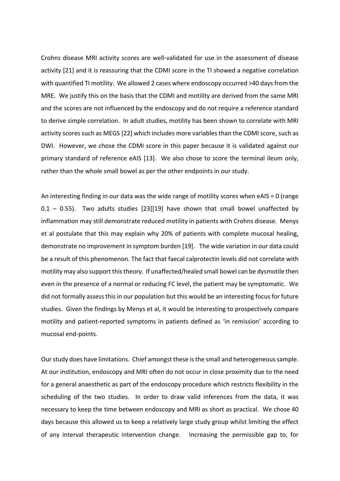Crohns disease MRI activity scores are well-validated for use in the assessment of disease activity [21] and it is reassuring that the CDMI score in the TI showed a negative correlation with quantified TI motility. We allowed 2 cases where endoscopy occurred >40 days from the MRE. We justify this on the basis that the CDMI and motility are derived from the same MRI and the scores are not influenced by the endoscopy and do not require a reference standard to derive simple correlation. In adult studies, motility has been shown to correlate with MRI activity scores such as MEGS [22] which includes more variables than the CDMI score, such as DWI. However, we chose the CDMI score in this paper because it is validated against our primary standard of reference eAIS [13]. We also chose to score the terminal ileum only, rather than the whole small bowel as per the other endpoints in our study.

An interesting finding in our data was the wide range of motility scores when eAIS = 0 (range  $0.1 - 0.55$ ). Two adults studies [23][19] have shown that small bowel unaffected by inflammation may still demonstrate reduced motility in patients with Crohns disease. Menys et al postulate that this may explain why 20% of patients with complete mucosal healing, demonstrate no improvement in symptom burden [19]. The wide variation in our data could be a result of this phenomenon. The fact that faecal calprotectin levels did not correlate with motility may also support this theory. If unaffected/healed small bowel can be dysmotile then even in the presence of a normal or reducing FC level, the patient may be symptomatic. We did not formally assess this in our population but this would be an interesting focus for future studies. Given the findings by Menys et al, it would be interesting to prospectively compare motility and patient-reported symptoms in patients defined as 'in remission' according to mucosal end-points.

Our study does have limitations. Chief amongst these is the small and heterogeneous sample. At our institution, endoscopy and MRI often do not occur in close proximity due to the need for a general anaesthetic as part of the endoscopy procedure which restricts flexibility in the scheduling of the two studies. In order to draw valid inferences from the data, it was necessary to keep the time between endoscopy and MRI as short as practical. We chose 40 days because this allowed us to keep a relatively large study group whilst limiting the effect of any interval therapeutic intervention change. Increasing the permissible gap to, for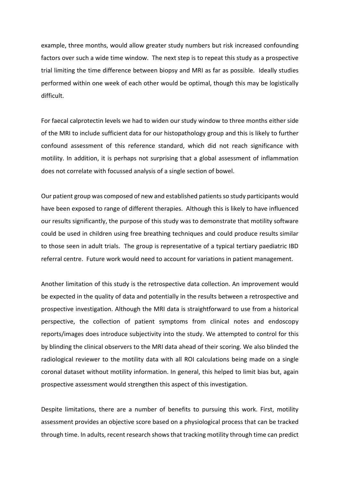example, three months, would allow greater study numbers but risk increased confounding factors over such a wide time window. The next step is to repeat this study as a prospective trial limiting the time difference between biopsy and MRI as far as possible. Ideally studies performed within one week of each other would be optimal, though this may be logistically difficult.

For faecal calprotectin levels we had to widen our study window to three months either side of the MRI to include sufficient data for our histopathology group and this is likely to further confound assessment of this reference standard, which did not reach significance with motility. In addition, it is perhaps not surprising that a global assessment of inflammation does not correlate with focussed analysis of a single section of bowel.

Our patient group was composed of new and established patients so study participants would have been exposed to range of different therapies. Although this is likely to have influenced our results significantly, the purpose of this study was to demonstrate that motility software could be used in children using free breathing techniques and could produce results similar to those seen in adult trials. The group is representative of a typical tertiary paediatric IBD referral centre. Future work would need to account for variations in patient management.

Another limitation of this study is the retrospective data collection. An improvement would be expected in the quality of data and potentially in the results between a retrospective and prospective investigation. Although the MRI data is straightforward to use from a historical perspective, the collection of patient symptoms from clinical notes and endoscopy reports/images does introduce subjectivity into the study. We attempted to control for this by blinding the clinical observers to the MRI data ahead of their scoring. We also blinded the radiological reviewer to the motility data with all ROI calculations being made on a single coronal dataset without motility information. In general, this helped to limit bias but, again prospective assessment would strengthen this aspect of this investigation.

Despite limitations, there are a number of benefits to pursuing this work. First, motility assessment provides an objective score based on a physiological process that can be tracked through time. In adults, recent research shows that tracking motility through time can predict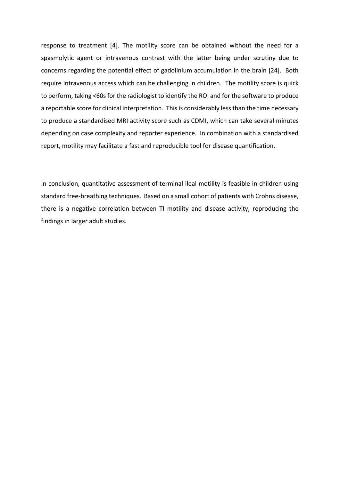response to treatment [4]. The motility score can be obtained without the need for a spasmolytic agent or intravenous contrast with the latter being under scrutiny due to concerns regarding the potential effect of gadolinium accumulation in the brain [24]. Both require intravenous access which can be challenging in children. The motility score is quick to perform, taking <60s for the radiologist to identify the ROI and for the software to produce a reportable score for clinical interpretation. This is considerably less than the time necessary to produce a standardised MRI activity score such as CDMI, which can take several minutes depending on case complexity and reporter experience. In combination with a standardised report, motility may facilitate a fast and reproducible tool for disease quantification.

In conclusion, quantitative assessment of terminal ileal motility is feasible in children using standard free-breathing techniques. Based on a small cohort of patients with Crohns disease, there is a negative correlation between TI motility and disease activity, reproducing the findings in larger adult studies.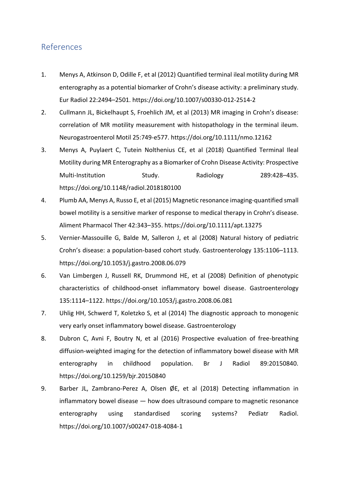# References

- 1. Menys A, Atkinson D, Odille F, et al (2012) Quantified terminal ileal motility during MR enterography as a potential biomarker of Crohn's disease activity: a preliminary study. Eur Radiol 22:2494–2501. https://doi.org/10.1007/s00330-012-2514-2
- 2. Cullmann JL, Bickelhaupt S, Froehlich JM, et al (2013) MR imaging in Crohn's disease: correlation of MR motility measurement with histopathology in the terminal ileum. Neurogastroenterol Motil 25:749-e577. https://doi.org/10.1111/nmo.12162
- 3. Menys A, Puylaert C, Tutein Nolthenius CE, et al (2018) Quantified Terminal Ileal Motility during MR Enterography as a Biomarker of Crohn Disease Activity: Prospective Multi-Institution Study. Radiology 289:428–435. https://doi.org/10.1148/radiol.2018180100
- 4. Plumb AA, Menys A, Russo E, et al (2015) Magnetic resonance imaging-quantified small bowel motility is a sensitive marker of response to medical therapy in Crohn's disease. Aliment Pharmacol Ther 42:343–355. https://doi.org/10.1111/apt.13275
- 5. Vernier-Massouille G, Balde M, Salleron J, et al (2008) Natural history of pediatric Crohn's disease: a population-based cohort study. Gastroenterology 135:1106–1113. https://doi.org/10.1053/j.gastro.2008.06.079
- 6. Van Limbergen J, Russell RK, Drummond HE, et al (2008) Definition of phenotypic characteristics of childhood-onset inflammatory bowel disease. Gastroenterology 135:1114–1122. https://doi.org/10.1053/j.gastro.2008.06.081
- 7. Uhlig HH, Schwerd T, Koletzko S, et al (2014) The diagnostic approach to monogenic very early onset inflammatory bowel disease. Gastroenterology
- 8. Dubron C, Avni F, Boutry N, et al (2016) Prospective evaluation of free-breathing diffusion-weighted imaging for the detection of inflammatory bowel disease with MR enterography in childhood population. Br J Radiol 89:20150840. https://doi.org/10.1259/bjr.20150840
- 9. Barber JL, Zambrano-Perez A, Olsen ØE, et al (2018) Detecting inflammation in inflammatory bowel disease — how does ultrasound compare to magnetic resonance enterography using standardised scoring systems? Pediatr Radiol. https://doi.org/10.1007/s00247-018-4084-1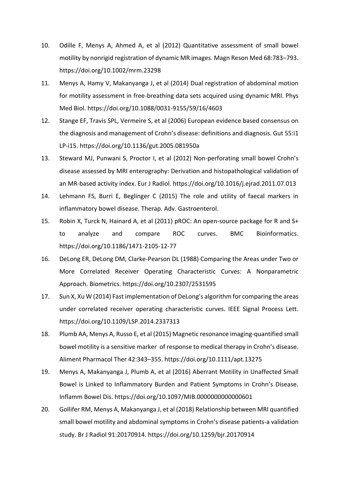- 10. Odille F, Menys A, Ahmed A, et al (2012) Quantitative assessment of small bowel motility by nonrigid registration of dynamic MR images. Magn Reson Med 68:783–793. https://doi.org/10.1002/mrm.23298
- 11. Menys A, Hamy V, Makanyanga J, et al (2014) Dual registration of abdominal motion for motility assessment in free-breathing data sets acquired using dynamic MRI. Phys Med Biol. https://doi.org/10.1088/0031-9155/59/16/4603
- 12. Stange EF, Travis SPL, Vermeire S, et al (2006) European evidence based consensus on the diagnosis and management of Crohn's disease: definitions and diagnosis. Gut 55:i1 LP-i15. https://doi.org/10.1136/gut.2005.081950a
- 13. Steward MJ, Punwani S, Proctor I, et al (2012) Non-perforating small bowel Crohn's disease assessed by MRI enterography: Derivation and histopathological validation of an MR-based activity index. Eur J Radiol. https://doi.org/10.1016/j.ejrad.2011.07.013
- 14. Lehmann FS, Burri E, Beglinger C (2015) The role and utility of faecal markers in inflammatory bowel disease. Therap. Adv. Gastroenterol.
- 15. Robin X, Turck N, Hainard A, et al (2011) pROC: An open-source package for R and S+ to analyze and compare ROC curves. BMC Bioinformatics. https://doi.org/10.1186/1471-2105-12-77
- 16. DeLong ER, DeLong DM, Clarke-Pearson DL (1988) Comparing the Areas under Two or More Correlated Receiver Operating Characteristic Curves: A Nonparametric Approach. Biometrics. https://doi.org/10.2307/2531595
- 17. Sun X, Xu W (2014) Fast implementation of DeLong's algorithm for comparing the areas under correlated receiver operating characteristic curves. IEEE Signal Process Lett. https://doi.org/10.1109/LSP.2014.2337313
- 18. Plumb AA, Menys A, Russo E, et al (2015) Magnetic resonance imaging-quantified small bowel motility is a sensitive marker of response to medical therapy in Crohn's disease. Aliment Pharmacol Ther 42:343–355. https://doi.org/10.1111/apt.13275
- 19. Menys A, Makanyanga J, Plumb A, et al (2016) Aberrant Motility in Unaffected Small Bowel is Linked to Inflammatory Burden and Patient Symptoms in Crohn's Disease. Inflamm Bowel Dis. https://doi.org/10.1097/MIB.0000000000000601
- 20. Gollifer RM, Menys A, Makanyanga J, et al (2018) Relationship between MRI quantified small bowel motility and abdominal symptoms in Crohn's disease patients-a validation study. Br J Radiol 91:20170914. https://doi.org/10.1259/bjr.20170914